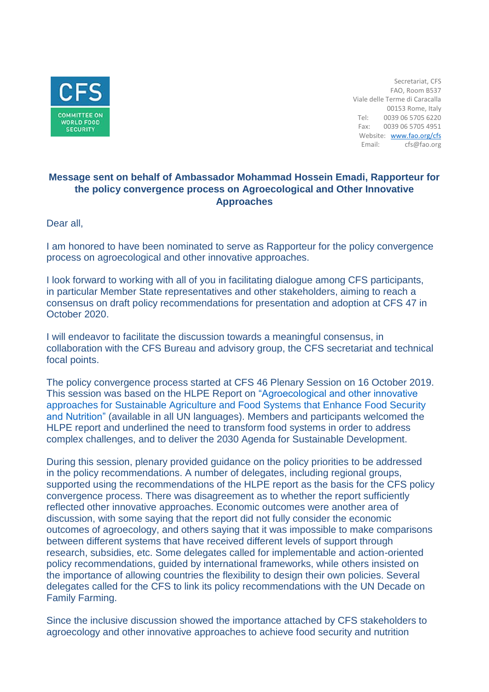

Secretariat, CFS FAO, Room B537 Viale delle Terme di Caracalla 00153 Rome, Italy Tel: 0039 06 5705 6220 Fax: 0039 06 5705 4951 Website: [www.fao.org/cfs](http://www.fao.org/cfs) Email: cfs@fao.org

### **Message sent on behalf of Ambassador Mohammad Hossein Emadi, Rapporteur for the policy convergence process on Agroecological and Other Innovative Approaches**

Dear all,

I am honored to have been nominated to serve as Rapporteur for the policy convergence process on agroecological and other innovative approaches.

I look forward to working with all of you in facilitating dialogue among CFS participants, in particular Member State representatives and other stakeholders, aiming to reach a consensus on draft policy recommendations for presentation and adoption at CFS 47 in October 2020.

I will endeavor to facilitate the discussion towards a meaningful consensus, in collaboration with the CFS Bureau and advisory group, the CFS secretariat and technical focal points.

The policy convergence process started at CFS 46 Plenary Session on 16 October 2019. This session was based on the HLPE Report on "Agroecological and other innovative approaches for Sustainable Agriculture and Food Systems that Enhance Food Security and Nutrition" (available in all UN languages). Members and participants welcomed the HLPE report and underlined the need to transform food systems in order to address complex challenges, and to deliver the 2030 Agenda for Sustainable Development.

During this session, plenary provided guidance on the policy priorities to be addressed in the policy recommendations. A number of delegates, including regional groups, supported using the recommendations of the HLPE report as the basis for the CFS policy convergence process. There was disagreement as to whether the report sufficiently reflected other innovative approaches. Economic outcomes were another area of discussion, with some saying that the report did not fully consider the economic outcomes of agroecology, and others saying that it was impossible to make comparisons between different systems that have received different levels of support through research, subsidies, etc. Some delegates called for implementable and action-oriented policy recommendations, guided by international frameworks, while others insisted on the importance of allowing countries the flexibility to design their own policies. Several delegates called for the CFS to link its policy recommendations with the UN Decade on Family Farming.

Since the inclusive discussion showed the importance attached by CFS stakeholders to agroecology and other innovative approaches to achieve food security and nutrition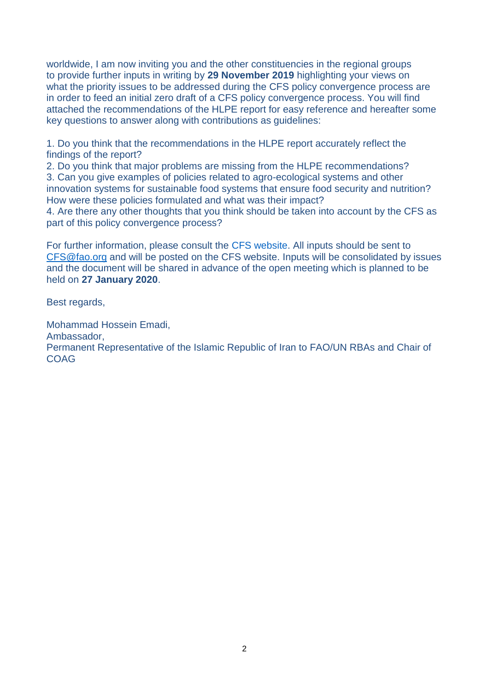worldwide, I am now inviting you and the other constituencies in the regional groups to provide further inputs in writing by **29 November 2019** highlighting your views on what the priority issues to be addressed during the CFS policy convergence process are in order to feed an initial zero draft of a CFS policy convergence process. You will find attached the recommendations of the HLPE report for easy reference and hereafter some key questions to answer along with contributions as guidelines:

1. Do you think that the recommendations in the HLPE report accurately reflect the findings of the report?

2. Do you think that major problems are missing from the HLPE recommendations? 3. Can you give examples of policies related to agro-ecological systems and other innovation systems for sustainable food systems that ensure food security and nutrition? How were these policies formulated and what was their impact?

4. Are there any other thoughts that you think should be taken into account by the CFS as part of this policy convergence process?

For further information, please consult the CFS website. All inputs should be sent to [CFS@fao.org](mailto:CFS@fao.org) and will be posted on the CFS website. Inputs will be consolidated by issues and the document will be shared in advance of the open meeting which is planned to be held on **27 January 2020**.

Best regards,

Mohammad Hossein Emadi, Ambassador, Permanent Representative of the Islamic Republic of Iran to FAO/UN RBAs and Chair of COAG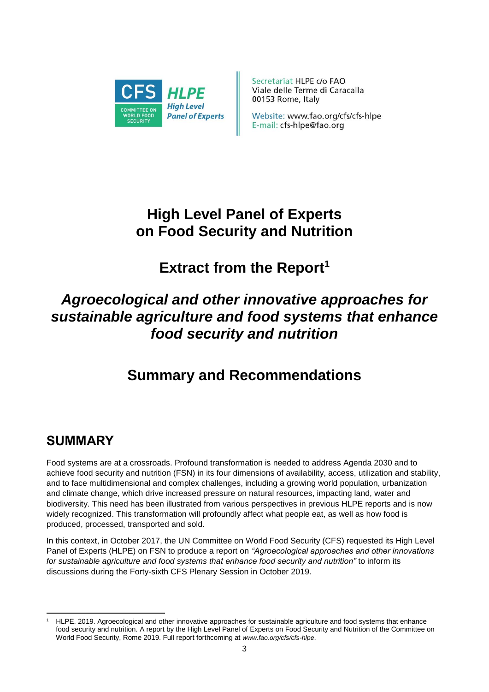

Secretariat HLPE c/o FAO Viale delle Terme di Caracalla 00153 Rome, Italy

Website: www.fao.org/cfs/cfs-hlpe E-mail: cfs-hlpe@fao.org

# **High Level Panel of Experts on Food Security and Nutrition**

# **Extract from the Report<sup>1</sup>**

# *Agroecological and other innovative approaches for sustainable agriculture and food systems that enhance food security and nutrition*

# **Summary and Recommendations**

# **SUMMARY**

Food systems are at a crossroads. Profound transformation is needed to address Agenda 2030 and to achieve food security and nutrition (FSN) in its four dimensions of availability, access, utilization and stability, and to face multidimensional and complex challenges, including a growing world population, urbanization and climate change, which drive increased pressure on natural resources, impacting land, water and biodiversity. This need has been illustrated from various perspectives in previous HLPE reports and is now widely recognized. This transformation will profoundly affect what people eat, as well as how food is produced, processed, transported and sold.

In this context, in October 2017, the UN Committee on World Food Security (CFS) requested its High Level Panel of Experts (HLPE) on FSN to produce a report on *"Agroecological approaches and other innovations for sustainable agriculture and food systems that enhance food security and nutrition"* to inform its discussions during the Forty-sixth CFS Plenary Session in October 2019.

**<sup>.</sup>** <sup>1</sup> HLPE. 2019. Agroecological and other innovative approaches for sustainable agriculture and food systems that enhance food security and nutrition. A report by the High Level Panel of Experts on Food Security and Nutrition of the Committee on World Food Security, Rome 2019. Full report forthcoming at *[www.fao.org/cfs/cfs-hlpe](http://www.fao.org/cfs/cfs-hlpe)*.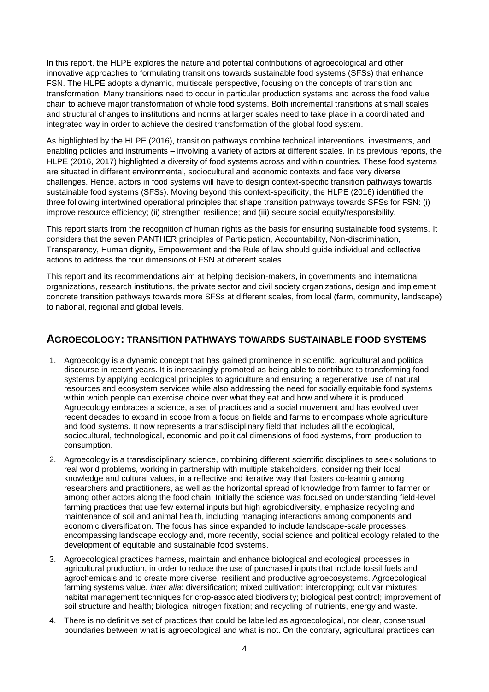In this report, the HLPE explores the nature and potential contributions of agroecological and other innovative approaches to formulating transitions towards sustainable food systems (SFSs) that enhance FSN. The HLPE adopts a dynamic, multiscale perspective, focusing on the concepts of transition and transformation. Many transitions need to occur in particular production systems and across the food value chain to achieve major transformation of whole food systems. Both incremental transitions at small scales and structural changes to institutions and norms at larger scales need to take place in a coordinated and integrated way in order to achieve the desired transformation of the global food system.

As highlighted by the HLPE (2016), transition pathways combine technical interventions, investments, and enabling policies and instruments – involving a variety of actors at different scales. In its previous reports, the HLPE (2016, 2017) highlighted a diversity of food systems across and within countries. These food systems are situated in different environmental, sociocultural and economic contexts and face very diverse challenges. Hence, actors in food systems will have to design context-specific transition pathways towards sustainable food systems (SFSs). Moving beyond this context-specificity, the HLPE (2016) identified the three following intertwined operational principles that shape transition pathways towards SFSs for FSN: (i) improve resource efficiency; (ii) strengthen resilience; and (iii) secure social equity/responsibility.

This report starts from the recognition of human rights as the basis for ensuring sustainable food systems. It considers that the seven PANTHER principles of Participation, Accountability, Non-discrimination, Transparency, Human dignity, Empowerment and the Rule of law should guide individual and collective actions to address the four dimensions of FSN at different scales.

This report and its recommendations aim at helping decision-makers, in governments and international organizations, research institutions, the private sector and civil society organizations, design and implement concrete transition pathways towards more SFSs at different scales, from local (farm, community, landscape) to national, regional and global levels.

### **AGROECOLOGY: TRANSITION PATHWAYS TOWARDS SUSTAINABLE FOOD SYSTEMS**

- 1. Agroecology is a dynamic concept that has gained prominence in scientific, agricultural and political discourse in recent years. It is increasingly promoted as being able to contribute to transforming food systems by applying ecological principles to agriculture and ensuring a regenerative use of natural resources and ecosystem services while also addressing the need for socially equitable food systems within which people can exercise choice over what they eat and how and where it is produced. Agroecology embraces a science, a set of practices and a social movement and has evolved over recent decades to expand in scope from a focus on fields and farms to encompass whole agriculture and food systems. It now represents a transdisciplinary field that includes all the ecological, sociocultural, technological, economic and political dimensions of food systems, from production to consumption.
- 2. Agroecology is a transdisciplinary science, combining different scientific disciplines to seek solutions to real world problems, working in partnership with multiple stakeholders, considering their local knowledge and cultural values, in a reflective and iterative way that fosters co-learning among researchers and practitioners, as well as the horizontal spread of knowledge from farmer to farmer or among other actors along the food chain. Initially the science was focused on understanding field-level farming practices that use few external inputs but high agrobiodiversity, emphasize recycling and maintenance of soil and animal health, including managing interactions among components and economic diversification. The focus has since expanded to include landscape-scale processes, encompassing landscape ecology and, more recently, social science and political ecology related to the development of equitable and sustainable food systems.
- 3. Agroecological practices harness, maintain and enhance biological and ecological processes in agricultural production, in order to reduce the use of purchased inputs that include fossil fuels and agrochemicals and to create more diverse, resilient and productive agroecosystems. Agroecological farming systems value, *inter alia*: diversification; mixed cultivation; intercropping; cultivar mixtures; habitat management techniques for crop-associated biodiversity; biological pest control; improvement of soil structure and health; biological nitrogen fixation; and recycling of nutrients, energy and waste.
- 4. There is no definitive set of practices that could be labelled as agroecological, nor clear, consensual boundaries between what is agroecological and what is not. On the contrary, agricultural practices can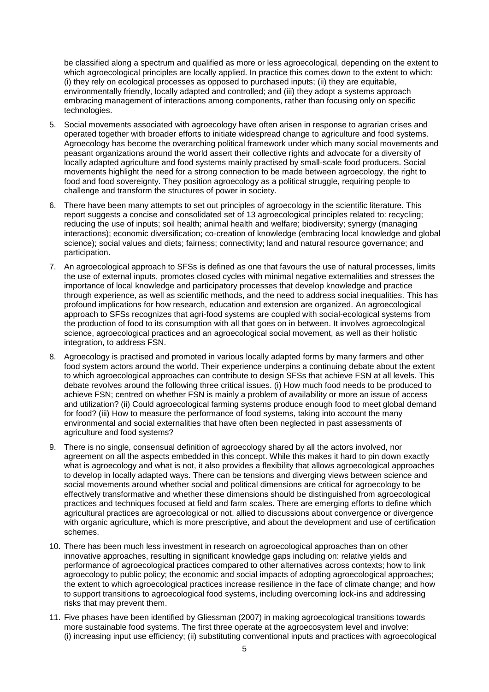be classified along a spectrum and qualified as more or less agroecological, depending on the extent to which agroecological principles are locally applied. In practice this comes down to the extent to which: (i) they rely on ecological processes as opposed to purchased inputs; (ii) they are equitable, environmentally friendly, locally adapted and controlled; and (iii) they adopt a systems approach embracing management of interactions among components, rather than focusing only on specific technologies.

- 5. Social movements associated with agroecology have often arisen in response to agrarian crises and operated together with broader efforts to initiate widespread change to agriculture and food systems. Agroecology has become the overarching political framework under which many social movements and peasant organizations around the world assert their collective rights and advocate for a diversity of locally adapted agriculture and food systems mainly practised by small-scale food producers. Social movements highlight the need for a strong connection to be made between agroecology, the right to food and food sovereignty. They position agroecology as a political struggle, requiring people to challenge and transform the structures of power in society.
- 6. There have been many attempts to set out principles of agroecology in the scientific literature. This report suggests a concise and consolidated set of 13 agroecological principles related to: recycling; reducing the use of inputs; soil health; animal health and welfare; biodiversity; synergy (managing interactions); economic diversification; co-creation of knowledge (embracing local knowledge and global science); social values and diets; fairness; connectivity; land and natural resource governance; and participation.
- 7. An agroecological approach to SFSs is defined as one that favours the use of natural processes, limits the use of external inputs, promotes closed cycles with minimal negative externalities and stresses the importance of local knowledge and participatory processes that develop knowledge and practice through experience, as well as scientific methods, and the need to address social inequalities. This has profound implications for how research, education and extension are organized. An agroecological approach to SFSs recognizes that agri-food systems are coupled with social-ecological systems from the production of food to its consumption with all that goes on in between. It involves agroecological science, agroecological practices and an agroecological social movement, as well as their holistic integration, to address FSN.
- 8. Agroecology is practised and promoted in various locally adapted forms by many farmers and other food system actors around the world. Their experience underpins a continuing debate about the extent to which agroecological approaches can contribute to design SFSs that achieve FSN at all levels. This debate revolves around the following three critical issues. (i) How much food needs to be produced to achieve FSN; centred on whether FSN is mainly a problem of availability or more an issue of access and utilization? (ii) Could agroecological farming systems produce enough food to meet global demand for food? (iii) How to measure the performance of food systems, taking into account the many environmental and social externalities that have often been neglected in past assessments of agriculture and food systems?
- 9. There is no single, consensual definition of agroecology shared by all the actors involved, nor agreement on all the aspects embedded in this concept. While this makes it hard to pin down exactly what is agroecology and what is not, it also provides a flexibility that allows agroecological approaches to develop in locally adapted ways. There can be tensions and diverging views between science and social movements around whether social and political dimensions are critical for agroecology to be effectively transformative and whether these dimensions should be distinguished from agroecological practices and techniques focused at field and farm scales. There are emerging efforts to define which agricultural practices are agroecological or not, allied to discussions about convergence or divergence with organic agriculture, which is more prescriptive, and about the development and use of certification schemes.
- 10. There has been much less investment in research on agroecological approaches than on other innovative approaches, resulting in significant knowledge gaps including on: relative vields and performance of agroecological practices compared to other alternatives across contexts; how to link agroecology to public policy; the economic and social impacts of adopting agroecological approaches; the extent to which agroecological practices increase resilience in the face of climate change; and how to support transitions to agroecological food systems, including overcoming lock-ins and addressing risks that may prevent them.
- 11. Five phases have been identified by Gliessman (2007) in making agroecological transitions towards more sustainable food systems. The first three operate at the agroecosystem level and involve: (i) increasing input use efficiency; (ii) substituting conventional inputs and practices with agroecological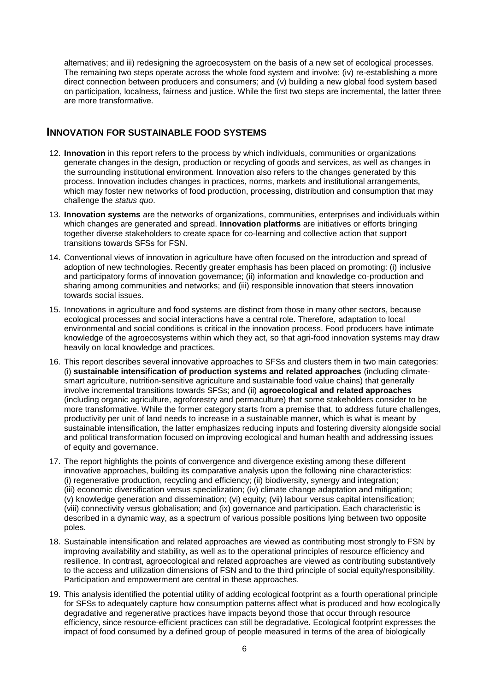alternatives; and iii) redesigning the agroecosystem on the basis of a new set of ecological processes. The remaining two steps operate across the whole food system and involve: (iv) re-establishing a more direct connection between producers and consumers; and (v) building a new global food system based on participation, localness, fairness and justice. While the first two steps are incremental, the latter three are more transformative.

### **INNOVATION FOR SUSTAINABLE FOOD SYSTEMS**

- 12. **Innovation** in this report refers to the process by which individuals, communities or organizations generate changes in the design, production or recycling of goods and services, as well as changes in the surrounding institutional environment. Innovation also refers to the changes generated by this process. Innovation includes changes in practices, norms, markets and institutional arrangements, which may foster new networks of food production, processing, distribution and consumption that may challenge the *status quo*.
- 13. **Innovation systems** are the networks of organizations, communities, enterprises and individuals within which changes are generated and spread. **Innovation platforms** are initiatives or efforts bringing together diverse stakeholders to create space for co-learning and collective action that support transitions towards SFSs for FSN.
- 14. Conventional views of innovation in agriculture have often focused on the introduction and spread of adoption of new technologies. Recently greater emphasis has been placed on promoting: (i) inclusive and participatory forms of innovation governance; (ii) information and knowledge co-production and sharing among communities and networks; and (iii) responsible innovation that steers innovation towards social issues.
- 15. Innovations in agriculture and food systems are distinct from those in many other sectors, because ecological processes and social interactions have a central role. Therefore, adaptation to local environmental and social conditions is critical in the innovation process. Food producers have intimate knowledge of the agroecosystems within which they act, so that agri-food innovation systems may draw heavily on local knowledge and practices.
- 16. This report describes several innovative approaches to SFSs and clusters them in two main categories: (i) **sustainable intensification of production systems and related approaches** (including climatesmart agriculture, nutrition-sensitive agriculture and sustainable food value chains) that generally involve incremental transitions towards SFSs; and (ii) **agroecological and related approaches** (including organic agriculture, agroforestry and permaculture) that some stakeholders consider to be more transformative. While the former category starts from a premise that, to address future challenges, productivity per unit of land needs to increase in a sustainable manner, which is what is meant by sustainable intensification, the latter emphasizes reducing inputs and fostering diversity alongside social and political transformation focused on improving ecological and human health and addressing issues of equity and governance.
- 17. The report highlights the points of convergence and divergence existing among these different innovative approaches, building its comparative analysis upon the following nine characteristics: (i) regenerative production, recycling and efficiency; (ii) biodiversity, synergy and integration; (iii) economic diversification versus specialization; (iv) climate change adaptation and mitigation; (v) knowledge generation and dissemination; (vi) equity; (vii) labour versus capital intensification; (viii) connectivity versus globalisation; and (ix) governance and participation. Each characteristic is described in a dynamic way, as a spectrum of various possible positions lying between two opposite poles.
- 18. Sustainable intensification and related approaches are viewed as contributing most strongly to FSN by improving availability and stability, as well as to the operational principles of resource efficiency and resilience. In contrast, agroecological and related approaches are viewed as contributing substantively to the access and utilization dimensions of FSN and to the third principle of social equity/responsibility. Participation and empowerment are central in these approaches.
- 19. This analysis identified the potential utility of adding ecological footprint as a fourth operational principle for SFSs to adequately capture how consumption patterns affect what is produced and how ecologically degradative and regenerative practices have impacts beyond those that occur through resource efficiency, since resource-efficient practices can still be degradative. Ecological footprint expresses the impact of food consumed by a defined group of people measured in terms of the area of biologically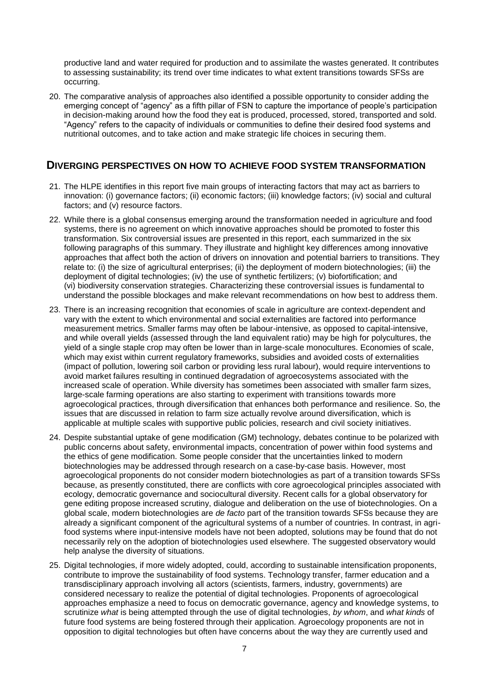productive land and water required for production and to assimilate the wastes generated. It contributes to assessing sustainability; its trend over time indicates to what extent transitions towards SFSs are occurring.

20. The comparative analysis of approaches also identified a possible opportunity to consider adding the emerging concept of "agency" as a fifth pillar of FSN to capture the importance of people's participation in decision-making around how the food they eat is produced, processed, stored, transported and sold. "Agency" refers to the capacity of individuals or communities to define their desired food systems and nutritional outcomes, and to take action and make strategic life choices in securing them.

### **DIVERGING PERSPECTIVES ON HOW TO ACHIEVE FOOD SYSTEM TRANSFORMATION**

- 21. The HLPE identifies in this report five main groups of interacting factors that may act as barriers to innovation: (i) governance factors; (ii) economic factors; (iii) knowledge factors; (iv) social and cultural factors; and (v) resource factors.
- 22. While there is a global consensus emerging around the transformation needed in agriculture and food systems, there is no agreement on which innovative approaches should be promoted to foster this transformation. Six controversial issues are presented in this report, each summarized in the six following paragraphs of this summary. They illustrate and highlight key differences among innovative approaches that affect both the action of drivers on innovation and potential barriers to transitions. They relate to: (i) the size of agricultural enterprises; (ii) the deployment of modern biotechnologies; (iii) the deployment of digital technologies; (iv) the use of synthetic fertilizers; (v) biofortification; and (vi) biodiversity conservation strategies. Characterizing these controversial issues is fundamental to understand the possible blockages and make relevant recommendations on how best to address them.
- 23. There is an increasing recognition that economies of scale in agriculture are context-dependent and vary with the extent to which environmental and social externalities are factored into performance measurement metrics. Smaller farms may often be labour-intensive, as opposed to capital-intensive, and while overall yields (assessed through the land equivalent ratio) may be high for polycultures, the yield of a single staple crop may often be lower than in large-scale monocultures. Economies of scale, which may exist within current regulatory frameworks, subsidies and avoided costs of externalities (impact of pollution, lowering soil carbon or providing less rural labour), would require interventions to avoid market failures resulting in continued degradation of agroecosystems associated with the increased scale of operation. While diversity has sometimes been associated with smaller farm sizes, large-scale farming operations are also starting to experiment with transitions towards more agroecological practices, through diversification that enhances both performance and resilience. So, the issues that are discussed in relation to farm size actually revolve around diversification, which is applicable at multiple scales with supportive public policies, research and civil society initiatives.
- 24. Despite substantial uptake of gene modification (GM) technology, debates continue to be polarized with public concerns about safety, environmental impacts, concentration of power within food systems and the ethics of gene modification. Some people consider that the uncertainties linked to modern biotechnologies may be addressed through research on a case-by-case basis. However, most agroecological proponents do not consider modern biotechnologies as part of a transition towards SFSs because, as presently constituted, there are conflicts with core agroecological principles associated with ecology, democratic governance and sociocultural diversity. Recent calls for a global observatory for gene editing propose increased scrutiny, dialogue and deliberation on the use of biotechnologies. On a global scale, modern biotechnologies are *de facto* part of the transition towards SFSs because they are already a significant component of the agricultural systems of a number of countries. In contrast, in agrifood systems where input-intensive models have not been adopted, solutions may be found that do not necessarily rely on the adoption of biotechnologies used elsewhere. The suggested observatory would help analyse the diversity of situations.
- 25. Digital technologies, if more widely adopted, could, according to sustainable intensification proponents, contribute to improve the sustainability of food systems. Technology transfer, farmer education and a transdisciplinary approach involving all actors (scientists, farmers, industry, governments) are considered necessary to realize the potential of digital technologies. Proponents of agroecological approaches emphasize a need to focus on democratic governance, agency and knowledge systems, to scrutinize *what* is being attempted through the use of digital technologies, *by whom*, and *what kinds* of future food systems are being fostered through their application. Agroecology proponents are not in opposition to digital technologies but often have concerns about the way they are currently used and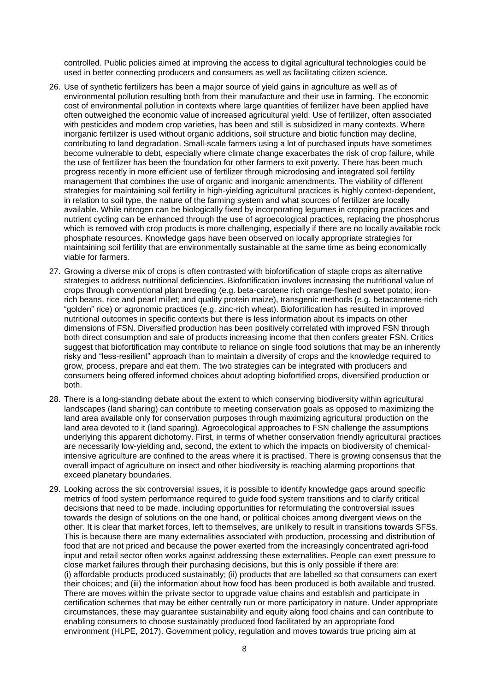controlled. Public policies aimed at improving the access to digital agricultural technologies could be used in better connecting producers and consumers as well as facilitating citizen science.

- 26. Use of synthetic fertilizers has been a major source of yield gains in agriculture as well as of environmental pollution resulting both from their manufacture and their use in farming. The economic cost of environmental pollution in contexts where large quantities of fertilizer have been applied have often outweighed the economic value of increased agricultural yield. Use of fertilizer, often associated with pesticides and modern crop varieties, has been and still is subsidized in many contexts. Where inorganic fertilizer is used without organic additions, soil structure and biotic function may decline, contributing to land degradation. Small-scale farmers using a lot of purchased inputs have sometimes become vulnerable to debt, especially where climate change exacerbates the risk of crop failure, while the use of fertilizer has been the foundation for other farmers to exit poverty. There has been much progress recently in more efficient use of fertilizer through microdosing and integrated soil fertility management that combines the use of organic and inorganic amendments. The viability of different strategies for maintaining soil fertility in high-yielding agricultural practices is highly context-dependent, in relation to soil type, the nature of the farming system and what sources of fertilizer are locally available. While nitrogen can be biologically fixed by incorporating legumes in cropping practices and nutrient cycling can be enhanced through the use of agroecological practices, replacing the phosphorus which is removed with crop products is more challenging, especially if there are no locally available rock phosphate resources. Knowledge gaps have been observed on locally appropriate strategies for maintaining soil fertility that are environmentally sustainable at the same time as being economically viable for farmers.
- 27. Growing a diverse mix of crops is often contrasted with biofortification of staple crops as alternative strategies to address nutritional deficiencies. Biofortification involves increasing the nutritional value of crops through conventional plant breeding (e.g. beta-carotene rich orange-fleshed sweet potato; ironrich beans, rice and pearl millet; and quality protein maize), transgenic methods (e.g*.* betacarotene-rich "golden" rice) or agronomic practices (e.g. zinc-rich wheat). Biofortification has resulted in improved nutritional outcomes in specific contexts but there is less information about its impacts on other dimensions of FSN. Diversified production has been positively correlated with improved FSN through both direct consumption and sale of products increasing income that then confers greater FSN. Critics suggest that biofortification may contribute to reliance on single food solutions that may be an inherently risky and "less-resilient" approach than to maintain a diversity of crops and the knowledge required to grow, process, prepare and eat them. The two strategies can be integrated with producers and consumers being offered informed choices about adopting biofortified crops, diversified production or both.
- 28. There is a long-standing debate about the extent to which conserving biodiversity within agricultural landscapes (land sharing) can contribute to meeting conservation goals as opposed to maximizing the land area available only for conservation purposes through maximizing agricultural production on the land area devoted to it (land sparing). Agroecological approaches to FSN challenge the assumptions underlying this apparent dichotomy. First, in terms of whether conservation friendly agricultural practices are necessarily low-yielding and, second, the extent to which the impacts on biodiversity of chemicalintensive agriculture are confined to the areas where it is practised. There is growing consensus that the overall impact of agriculture on insect and other biodiversity is reaching alarming proportions that exceed planetary boundaries.
- 29. Looking across the six controversial issues, it is possible to identify knowledge gaps around specific metrics of food system performance required to guide food system transitions and to clarify critical decisions that need to be made, including opportunities for reformulating the controversial issues towards the design of solutions on the one hand, or political choices among divergent views on the other. It is clear that market forces, left to themselves, are unlikely to result in transitions towards SFSs. This is because there are many externalities associated with production, processing and distribution of food that are not priced and because the power exerted from the increasingly concentrated agri-food input and retail sector often works against addressing these externalities. People can exert pressure to close market failures through their purchasing decisions, but this is only possible if there are: (i) affordable products produced sustainably; (ii) products that are labelled so that consumers can exert their choices; and (iii) the information about how food has been produced is both available and trusted. There are moves within the private sector to upgrade value chains and establish and participate in certification schemes that may be either centrally run or more participatory in nature. Under appropriate circumstances, these may guarantee sustainability and equity along food chains and can contribute to enabling consumers to choose sustainably produced food facilitated by an appropriate food environment (HLPE, 2017). Government policy, regulation and moves towards true pricing aim at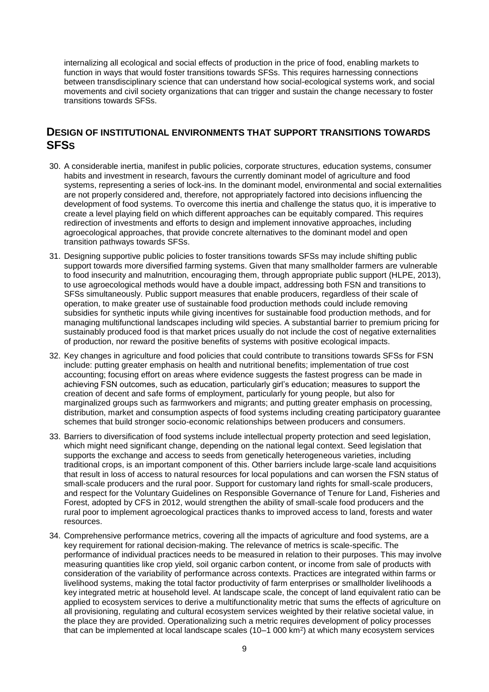internalizing all ecological and social effects of production in the price of food, enabling markets to function in ways that would foster transitions towards SFSs. This requires harnessing connections between transdisciplinary science that can understand how social-ecological systems work, and social movements and civil society organizations that can trigger and sustain the change necessary to foster transitions towards SFSs.

### **DESIGN OF INSTITUTIONAL ENVIRONMENTS THAT SUPPORT TRANSITIONS TOWARDS SFSS**

- 30. A considerable inertia, manifest in public policies, corporate structures, education systems, consumer habits and investment in research, favours the currently dominant model of agriculture and food systems, representing a series of lock-ins. In the dominant model, environmental and social externalities are not properly considered and, therefore, not appropriately factored into decisions influencing the development of food systems. To overcome this inertia and challenge the status quo, it is imperative to create a level playing field on which different approaches can be equitably compared. This requires redirection of investments and efforts to design and implement innovative approaches, including agroecological approaches, that provide concrete alternatives to the dominant model and open transition pathways towards SFSs.
- 31. Designing supportive public policies to foster transitions towards SFSs may include shifting public support towards more diversified farming systems. Given that many smallholder farmers are vulnerable to food insecurity and malnutrition, encouraging them, through appropriate public support (HLPE, 2013), to use agroecological methods would have a double impact, addressing both FSN and transitions to SFSs simultaneously. Public support measures that enable producers, regardless of their scale of operation, to make greater use of sustainable food production methods could include removing subsidies for synthetic inputs while giving incentives for sustainable food production methods, and for managing multifunctional landscapes including wild species. A substantial barrier to premium pricing for sustainably produced food is that market prices usually do not include the cost of negative externalities of production, nor reward the positive benefits of systems with positive ecological impacts.
- 32. Key changes in agriculture and food policies that could contribute to transitions towards SFSs for FSN include: putting greater emphasis on health and nutritional benefits; implementation of true cost accounting; focusing effort on areas where evidence suggests the fastest progress can be made in achieving FSN outcomes, such as education, particularly girl's education; measures to support the creation of decent and safe forms of employment, particularly for young people, but also for marginalized groups such as farmworkers and migrants; and putting greater emphasis on processing, distribution, market and consumption aspects of food systems including creating participatory guarantee schemes that build stronger socio-economic relationships between producers and consumers.
- 33. Barriers to diversification of food systems include intellectual property protection and seed legislation, which might need significant change, depending on the national legal context. Seed legislation that supports the exchange and access to seeds from genetically heterogeneous varieties, including traditional crops, is an important component of this. Other barriers include large-scale land acquisitions that result in loss of access to natural resources for local populations and can worsen the FSN status of small-scale producers and the rural poor. Support for customary land rights for small-scale producers, and respect for the Voluntary Guidelines on Responsible Governance of Tenure for Land, Fisheries and Forest, adopted by CFS in 2012, would strengthen the ability of small-scale food producers and the rural poor to implement agroecological practices thanks to improved access to land, forests and water resources.
- 34. Comprehensive performance metrics, covering all the impacts of agriculture and food systems, are a key requirement for rational decision-making. The relevance of metrics is scale-specific. The performance of individual practices needs to be measured in relation to their purposes. This may involve measuring quantities like crop yield, soil organic carbon content, or income from sale of products with consideration of the variability of performance across contexts. Practices are integrated within farms or livelihood systems, making the total factor productivity of farm enterprises or smallholder livelihoods a key integrated metric at household level. At landscape scale, the concept of land equivalent ratio can be applied to ecosystem services to derive a multifunctionality metric that sums the effects of agriculture on all provisioning, regulating and cultural ecosystem services weighted by their relative societal value, in the place they are provided. Operationalizing such a metric requires development of policy processes that can be implemented at local landscape scales (10–1 000 km<sup>2</sup> ) at which many ecosystem services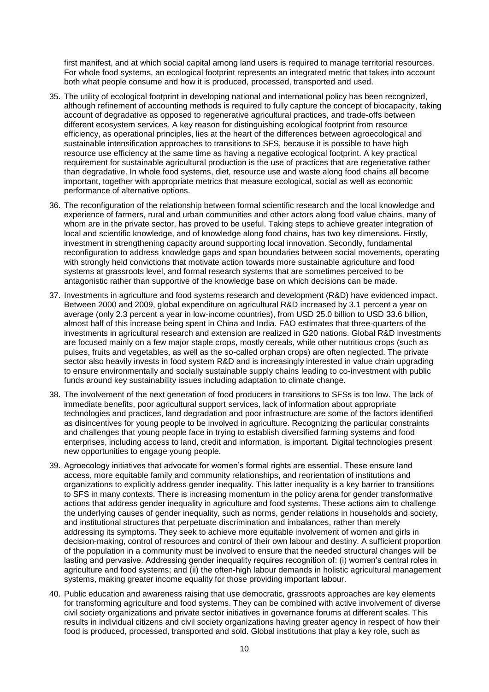first manifest, and at which social capital among land users is required to manage territorial resources. For whole food systems, an ecological footprint represents an integrated metric that takes into account both what people consume and how it is produced, processed, transported and used.

- 35. The utility of ecological footprint in developing national and international policy has been recognized, although refinement of accounting methods is required to fully capture the concept of biocapacity, taking account of degradative as opposed to regenerative agricultural practices, and trade-offs between different ecosystem services. A key reason for distinguishing ecological footprint from resource efficiency, as operational principles, lies at the heart of the differences between agroecological and sustainable intensification approaches to transitions to SFS, because it is possible to have high resource use efficiency at the same time as having a negative ecological footprint. A key practical requirement for sustainable agricultural production is the use of practices that are regenerative rather than degradative. In whole food systems, diet, resource use and waste along food chains all become important, together with appropriate metrics that measure ecological, social as well as economic performance of alternative options.
- 36. The reconfiguration of the relationship between formal scientific research and the local knowledge and experience of farmers, rural and urban communities and other actors along food value chains, many of whom are in the private sector, has proved to be useful. Taking steps to achieve greater integration of local and scientific knowledge, and of knowledge along food chains, has two key dimensions. Firstly, investment in strengthening capacity around supporting local innovation. Secondly, fundamental reconfiguration to address knowledge gaps and span boundaries between social movements, operating with strongly held convictions that motivate action towards more sustainable agriculture and food systems at grassroots level, and formal research systems that are sometimes perceived to be antagonistic rather than supportive of the knowledge base on which decisions can be made.
- 37. Investments in agriculture and food systems research and development (R&D) have evidenced impact. Between 2000 and 2009, global expenditure on agricultural R&D increased by 3.1 percent a year on average (only 2.3 percent a year in low-income countries), from USD 25.0 billion to USD 33.6 billion, almost half of this increase being spent in China and India. FAO estimates that three-quarters of the investments in agricultural research and extension are realized in G20 nations. Global R&D investments are focused mainly on a few major staple crops, mostly cereals, while other nutritious crops (such as pulses, fruits and vegetables, as well as the so-called orphan crops) are often neglected. The private sector also heavily invests in food system R&D and is increasingly interested in value chain upgrading to ensure environmentally and socially sustainable supply chains leading to co-investment with public funds around key sustainability issues including adaptation to climate change.
- 38. The involvement of the next generation of food producers in transitions to SFSs is too low. The lack of immediate benefits, poor agricultural support services, lack of information about appropriate technologies and practices, land degradation and poor infrastructure are some of the factors identified as disincentives for young people to be involved in agriculture. Recognizing the particular constraints and challenges that young people face in trying to establish diversified farming systems and food enterprises, including access to land, credit and information, is important. Digital technologies present new opportunities to engage young people.
- 39. Agroecology initiatives that advocate for women's formal rights are essential. These ensure land access, more equitable family and community relationships, and reorientation of institutions and organizations to explicitly address gender inequality. This latter inequality is a key barrier to transitions to SFS in many contexts. There is increasing momentum in the policy arena for gender transformative actions that address gender inequality in agriculture and food systems. These actions aim to challenge the underlying causes of gender inequality, such as norms, gender relations in households and society, and institutional structures that perpetuate discrimination and imbalances, rather than merely addressing its symptoms. They seek to achieve more equitable involvement of women and girls in decision-making, control of resources and control of their own labour and destiny. A sufficient proportion of the population in a community must be involved to ensure that the needed structural changes will be lasting and pervasive. Addressing gender inequality requires recognition of: (i) women's central roles in agriculture and food systems; and (ii) the often-high labour demands in holistic agricultural management systems, making greater income equality for those providing important labour.
- 40. Public education and awareness raising that use democratic, grassroots approaches are key elements for transforming agriculture and food systems. They can be combined with active involvement of diverse civil society organizations and private sector initiatives in governance forums at different scales. This results in individual citizens and civil society organizations having greater agency in respect of how their food is produced, processed, transported and sold. Global institutions that play a key role, such as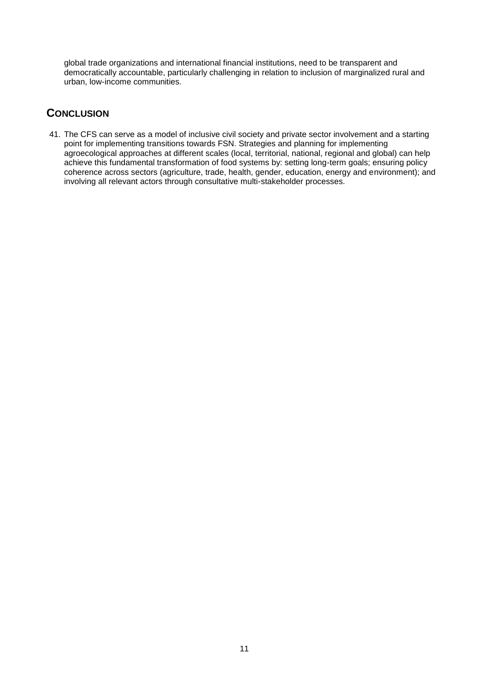global trade organizations and international financial institutions, need to be transparent and democratically accountable, particularly challenging in relation to inclusion of marginalized rural and urban, low-income communities.

## **CONCLUSION**

41. The CFS can serve as a model of inclusive civil society and private sector involvement and a starting point for implementing transitions towards FSN. Strategies and planning for implementing agroecological approaches at different scales (local, territorial, national, regional and global) can help achieve this fundamental transformation of food systems by: setting long-term goals; ensuring policy coherence across sectors (agriculture, trade, health, gender, education, energy and environment); and involving all relevant actors through consultative multi-stakeholder processes.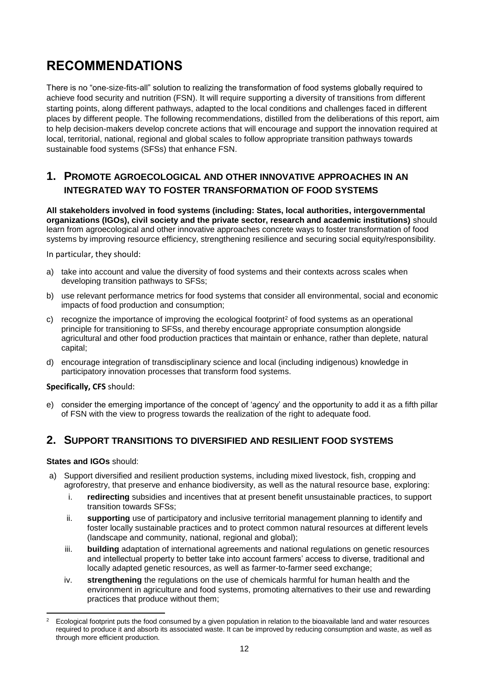## **RECOMMENDATIONS**

There is no "one-size-fits-all" solution to realizing the transformation of food systems globally required to achieve food security and nutrition (FSN). It will require supporting a diversity of transitions from different starting points, along different pathways, adapted to the local conditions and challenges faced in different places by different people. The following recommendations, distilled from the deliberations of this report, aim to help decision-makers develop concrete actions that will encourage and support the innovation required at local, territorial, national, regional and global scales to follow appropriate transition pathways towards sustainable food systems (SFSs) that enhance FSN.

## **1. PROMOTE AGROECOLOGICAL AND OTHER INNOVATIVE APPROACHES IN AN INTEGRATED WAY TO FOSTER TRANSFORMATION OF FOOD SYSTEMS**

**All stakeholders involved in food systems (including: States, local authorities, intergovernmental organizations (IGOs), civil society and the private sector, research and academic institutions)** should learn from agroecological and other innovative approaches concrete ways to foster transformation of food systems by improving resource efficiency, strengthening resilience and securing social equity/responsibility.

In particular, they should:

- a) take into account and value the diversity of food systems and their contexts across scales when developing transition pathways to SFSs;
- b) use relevant performance metrics for food systems that consider all environmental, social and economic impacts of food production and consumption;
- c) recognize the importance of improving the ecological footprint<sup>2</sup> of food systems as an operational principle for transitioning to SFSs, and thereby encourage appropriate consumption alongside agricultural and other food production practices that maintain or enhance, rather than deplete, natural capital;
- d) encourage integration of transdisciplinary science and local (including indigenous) knowledge in participatory innovation processes that transform food systems.

#### **Specifically, CFS** should:

e) consider the emerging importance of the concept of 'agency' and the opportunity to add it as a fifth pillar of FSN with the view to progress towards the realization of the right to adequate food.

### **2. SUPPORT TRANSITIONS TO DIVERSIFIED AND RESILIENT FOOD SYSTEMS**

#### **States and IGOs** should:

**.** 

- a) Support diversified and resilient production systems, including mixed livestock, fish, cropping and agroforestry, that preserve and enhance biodiversity, as well as the natural resource base, exploring:
	- i. **redirecting** subsidies and incentives that at present benefit unsustainable practices, to support transition towards SFSs;
	- ii. **supporting** use of participatory and inclusive territorial management planning to identify and foster locally sustainable practices and to protect common natural resources at different levels (landscape and community, national, regional and global);
	- iii. **building** adaptation of international agreements and national regulations on genetic resources and intellectual property to better take into account farmers' access to diverse, traditional and locally adapted genetic resources, as well as farmer-to-farmer seed exchange;
	- iv. **strengthening** the regulations on the use of chemicals harmful for human health and the environment in agriculture and food systems, promoting alternatives to their use and rewarding practices that produce without them;

<sup>2</sup> Ecological footprint puts the food consumed by a given population in relation to the bioavailable land and water resources required to produce it and absorb its associated waste. It can be improved by reducing consumption and waste, as well as through more efficient production.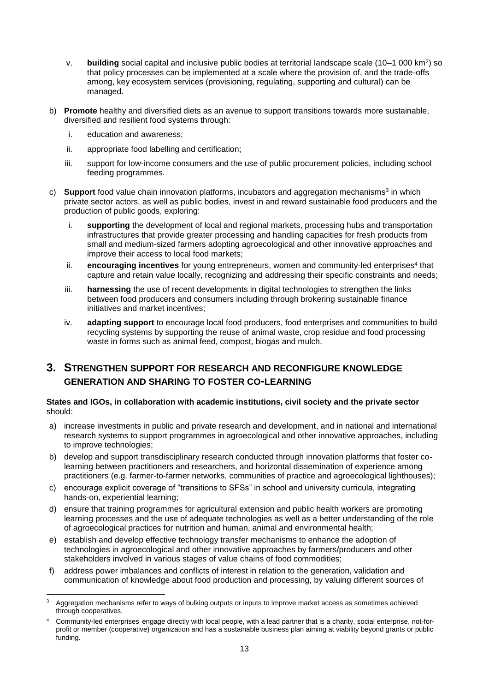- v. **building** social capital and inclusive public bodies at territorial landscape scale (10–1 000 km<sup>2</sup>) so that policy processes can be implemented at a scale where the provision of, and the trade-offs among, key ecosystem services (provisioning, regulating, supporting and cultural) can be managed.
- b) **Promote** healthy and diversified diets as an avenue to support transitions towards more sustainable, diversified and resilient food systems through:
	- i. education and awareness;
	- ii. appropriate food labelling and certification;
	- iii. support for low-income consumers and the use of public procurement policies, including school feeding programmes.
- c) Support food value chain innovation platforms, incubators and aggregation mechanisms<sup>3</sup> in which private sector actors, as well as public bodies, invest in and reward sustainable food producers and the production of public goods, exploring:
	- i. **supporting** the development of local and regional markets, processing hubs and transportation infrastructures that provide greater processing and handling capacities for fresh products from small and medium-sized farmers adopting agroecological and other innovative approaches and improve their access to local food markets;
	- ii. **encouraging incentives** for young entrepreneurs, women and community-led enterprises<sup>4</sup> that capture and retain value locally, recognizing and addressing their specific constraints and needs;
	- iii. **harnessing** the use of recent developments in digital technologies to strengthen the links between food producers and consumers including through brokering sustainable finance initiatives and market incentives;
	- iv. **adapting support** to encourage local food producers, food enterprises and communities to build recycling systems by supporting the reuse of animal waste, crop residue and food processing waste in forms such as animal feed, compost, biogas and mulch.

## **3. STRENGTHEN SUPPORT FOR RESEARCH AND RECONFIGURE KNOWLEDGE GENERATION AND SHARING TO FOSTER CO-LEARNING**

#### **States and IGOs, in collaboration with academic institutions, civil society and the private sector**  should:

- a) increase investments in public and private research and development, and in national and international research systems to support programmes in agroecological and other innovative approaches, including to improve technologies;
- b) develop and support transdisciplinary research conducted through innovation platforms that foster colearning between practitioners and researchers, and horizontal dissemination of experience among practitioners (e.g. farmer-to-farmer networks, communities of practice and agroecological lighthouses);
- c) encourage explicit coverage of "transitions to SFSs" in school and university curricula, integrating hands-on, experiential learning;
- d) ensure that training programmes for agricultural extension and public health workers are promoting learning processes and the use of adequate technologies as well as a better understanding of the role of agroecological practices for nutrition and human, animal and environmental health;
- e) establish and develop effective technology transfer mechanisms to enhance the adoption of technologies in agroecological and other innovative approaches by farmers/producers and other stakeholders involved in various stages of value chains of food commodities;
- f) address power imbalances and conflicts of interest in relation to the generation, validation and communication of knowledge about food production and processing, by valuing different sources of

 $\mathbf{R}$ Aggregation mechanisms refer to ways of bulking outputs or inputs to improve market access as sometimes achieved through cooperatives.

<sup>4</sup> Community-led enterprises engage directly with local people, with a lead partner that is a charity, social enterprise, not-forprofit or member (cooperative) organization and has a sustainable business plan aiming at viability beyond grants or public funding.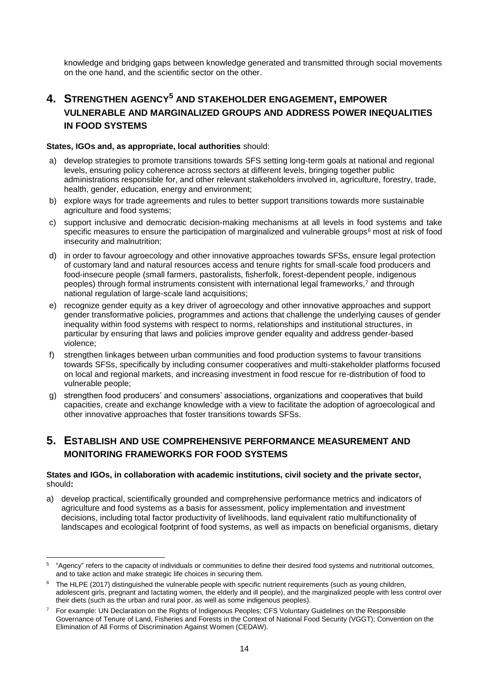knowledge and bridging gaps between knowledge generated and transmitted through social movements on the one hand, and the scientific sector on the other.

## **4. STRENGTHEN AGENCY<sup>5</sup> AND STAKEHOLDER ENGAGEMENT, EMPOWER VULNERABLE AND MARGINALIZED GROUPS AND ADDRESS POWER INEQUALITIES IN FOOD SYSTEMS**

#### **States, IGOs and, as appropriate, local authorities** should:

- a) develop strategies to promote transitions towards SFS setting long-term goals at national and regional levels, ensuring policy coherence across sectors at different levels, bringing together public administrations responsible for, and other relevant stakeholders involved in, agriculture, forestry, trade, health, gender, education, energy and environment;
- b) explore ways for trade agreements and rules to better support transitions towards more sustainable agriculture and food systems;
- c) support inclusive and democratic decision-making mechanisms at all levels in food systems and take specific measures to ensure the participation of marginalized and vulnerable groups<sup>6</sup> most at risk of food insecurity and malnutrition;
- d) in order to favour agroecology and other innovative approaches towards SFSs, ensure legal protection of customary land and natural resources access and tenure rights for small-scale food producers and food-insecure people (small farmers, pastoralists, fisherfolk, forest-dependent people, indigenous peoples) through formal instruments consistent with international legal frameworks,<sup>7</sup> and through national regulation of large-scale land acquisitions;
- e) recognize gender equity as a key driver of agroecology and other innovative approaches and support gender transformative policies, programmes and actions that challenge the underlying causes of gender inequality within food systems with respect to norms, relationships and institutional structures, in particular by ensuring that laws and policies improve gender equality and address gender-based violence;
- f) strengthen linkages between urban communities and food production systems to favour transitions towards SFSs, specifically by including consumer cooperatives and multi-stakeholder platforms focused on local and regional markets, and increasing investment in food rescue for re-distribution of food to vulnerable people;
- g) strengthen food producers' and consumers' associations, organizations and cooperatives that build capacities, create and exchange knowledge with a view to facilitate the adoption of agroecological and other innovative approaches that foster transitions towards SFSs.

## **5. ESTABLISH AND USE COMPREHENSIVE PERFORMANCE MEASUREMENT AND MONITORING FRAMEWORKS FOR FOOD SYSTEMS**

#### **States and IGOs, in collaboration with academic institutions, civil society and the private sector,**  should**:**

a) develop practical, scientifically grounded and comprehensive performance metrics and indicators of agriculture and food systems as a basis for assessment, policy implementation and investment decisions, including total factor productivity of livelihoods, land equivalent ratio multifunctionality of landscapes and ecological footprint of food systems, as well as impacts on beneficial organisms, dietary

 5 "Agency" refers to the capacity of individuals or communities to define their desired food systems and nutritional outcomes, and to take action and make strategic life choices in securing them.

 $6$  The HLPE (2017) distinguished the vulnerable people with specific nutrient requirements (such as young children, adolescent girls, pregnant and lactating women, the elderly and ill people), and the marginalized people with less control over their diets (such as the urban and rural poor, as well as some indigenous peoples).

<sup>7</sup> For example: UN Declaration on the Rights of Indigenous Peoples; CFS Voluntary Guidelines on the Responsible Governance of Tenure of Land, Fisheries and Forests in the Context of National Food Security (VGGT); Convention on the Elimination of All Forms of Discrimination Against Women (CEDAW).